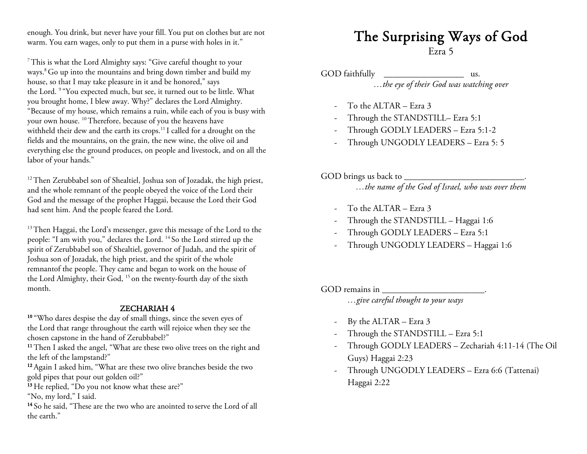enough. You drink, but never have your fill. You put on clothes but are not warm. You earn wages, only to put them in a purse with holes in it."

7This is what the Lord Almighty says: "Give careful thought to your ways.<sup>8</sup> Go up into the mountains and bring down timber and build my house, so that I may take pleasure in it and be honored," says the Lord. <sup>9</sup> "You expected much, but see, it turned out to be little. What you brought home, I blew away. Why?" declares the Lord Almighty. "Because of my house, which remains a ruin, while each of you is busy with your own house. <sup>10</sup> Therefore, because of you the heavens have withheld their dew and the earth its crops.<sup>11</sup> I called for a drought on the fields and the mountains, on the grain, the new wine, the olive oil and everything else the ground produces, on people and livestock, and on all the labor of your hands."

<sup>12</sup>Then Zerubbabel son of Shealtiel, Joshua son of Jozadak, the high priest, and the whole remnant of the people obeyed the voice of the Lord their God and the message of the prophet Haggai, because the Lord their God had sent him. And the people feared the Lord.

<sup>13</sup>Then Haggai, the Lord's messenger, gave this message of the Lord to the people: "I am with you," declares the Lord. <sup>14</sup> So the Lord stirred up the spirit of Zerubbabel son of Shealtiel, governor of Judah, and the spirit of Joshua son of Jozadak, the high priest, and the spirit of the whole remnantof the people. They came and began to work on the house of the Lord Almighty, their God, <sup>15</sup> on the twenty-fourth day of the sixth month.

**ZECHARIAH 4**<br><sup>10</sup> "Who dares despise the day of small things, since the seven eyes of the Lord that range throughout the earth will rejoice when they see the chosen capstone in the hand of Zerubbabel?"

<sup>11</sup> Then I asked the angel, "What are these two olive trees on the right and the left of the lampstand?"

<sup>12</sup> Again I asked him, "What are these two olive branches beside the two gold pipes that pour out golden oil?"

<sup>13</sup> He replied, "Do you not know what these are?"

"No, my lord," I said.

14 So he said, "These are the two who are anointed to serve the Lord of all the earth."

# The Surprising Ways of God  $\frac{\text{Exra 5}}{}$

GOD faithfully \_\_\_\_\_\_\_\_\_\_\_\_\_\_\_\_\_\_\_\_\_\_\_\_\_ us. *…the eye of their God was watching over*

- To the ALTAR Ezra 3
- Through the STANDSTILL– Ezra 5:1
- Through GODLY LEADERS Ezra 5:1-2
- Through UNGODLY LEADERS Ezra 5: 5
- GOD brings us back to \_\_\_\_\_\_\_\_\_\_\_\_\_\_\_\_\_\_\_\_\_\_\_\_\_\_\_. *…the name of the God of Israel, who was over them*
	- To the ALTAR Ezra 3
	- Through the STANDSTILL Haggai 1:6
	- Through GODLY LEADERS Ezra 5:1
	- Through UNGODLY LEADERS Haggai 1:6

GOD remains in \_\_\_\_\_\_\_\_\_\_\_\_\_\_\_\_\_\_\_\_\_\_\_.

- *…give careful thought to your ways*
- By the ALTAR Ezra 3
- Through the STANDSTILL Ezra 5:1
- Through GODLY LEADERS Zechariah 4:11-14 (The Oil Guys) Haggai 2:23
- Through UNGODLY LEADERS Ezra 6:6 (Tattenai) Haggai 2:22